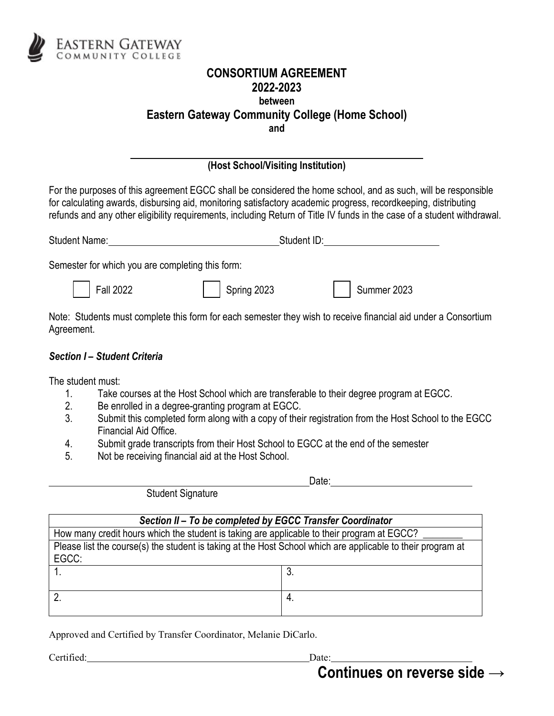

## **CONSORTIUM AGREEMENT 2022-2023 between Eastern Gateway Community College (Home School) and**

## **(Host School/Visiting Institution)**

For the purposes of this agreement EGCC shall be considered the home school, and as such, will be responsible for calculating awards, disbursing aid, monitoring satisfactory academic progress, recordkeeping, distributing refunds and any other eligibility requirements, including Return of Title IV funds in the case of a student withdrawal.

| <b>Student Name:</b> | Student ID: |
|----------------------|-------------|
|                      |             |

Semester for which you are completing this form:

Fall 2022 Spring 2023 Summer 2023

Note: Students must complete this form for each semester they wish to receive financial aid under a Consortium Agreement.

## *Section I – Student Criteria*

The student must:

- 1. Take courses at the Host School which are transferable to their degree program at EGCC.
- 2. Be enrolled in a degree-granting program at EGCC.
- 3. Submit this completed form along with a copy of their registration from the Host School to the EGCC Financial Aid Office.
- 4. Submit grade transcripts from their Host School to EGCC at the end of the semester
- 5. Not be receiving financial aid at the Host School.

Student Signature

Date:

| Section II - To be completed by EGCC Transfer Coordinator                                                   |     |  |
|-------------------------------------------------------------------------------------------------------------|-----|--|
| How many credit hours which the student is taking are applicable to their program at EGCC?                  |     |  |
| Please list the course(s) the student is taking at the Host School which are applicable to their program at |     |  |
| EGCC:                                                                                                       |     |  |
|                                                                                                             |     |  |
|                                                                                                             |     |  |
|                                                                                                             | -4. |  |
|                                                                                                             |     |  |

Approved and Certified by Transfer Coordinator, Melanie DiCarlo.

Certified: Date:

**Continues on reverse side →**